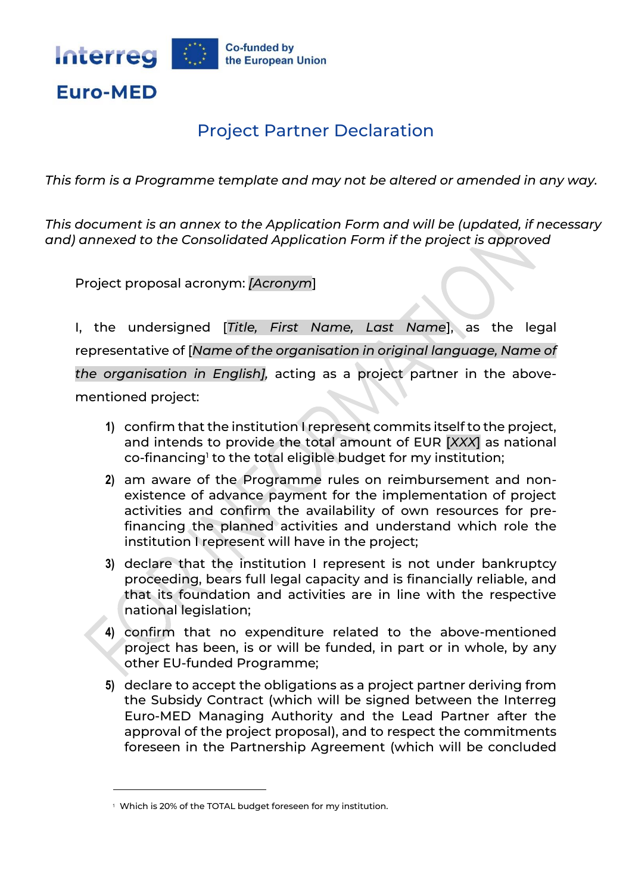

## Project Partner Declaration

*This form is a Programme template and may not be altered or amended in any way.* 

*This document is an annex to the Application Form and will be (updated, if necessary and) annexed to the Consolidated Application Form if the project is approved*

Project proposal acronym: *[Acronym*]

I, the undersigned [*Title, First Name, Last Name*], as the legal representative of [*Name of the organisation in original language, Name of the organisation in English],* acting as a project partner in the abovementioned project:

- **1)** confirm that the institution I represent commits itself to the project, and intends to provide the total amount of EUR [*XXX*] as national co-financing $^{\scriptscriptstyle\rm l}$  to the total eligible budget for my institution;
- **2)** am aware of the Programme rules on reimbursement and nonexistence of advance payment for the implementation of project activities and confirm the availability of own resources for prefinancing the planned activities and understand which role the institution I represent will have in the project;
- **3)** declare that the institution I represent is not under bankruptcy proceeding, bears full legal capacity and is financially reliable, and that its foundation and activities are in line with the respective national legislation;
- **4)** confirm that no expenditure related to the above-mentioned project has been, is or will be funded, in part or in whole, by any other EU-funded Programme;
- **5)** declare to accept the obligations as a project partner deriving from the Subsidy Contract (which will be signed between the Interreg Euro-MED Managing Authority and the Lead Partner after the approval of the project proposal), and to respect the commitments foreseen in the Partnership Agreement (which will be concluded

 $^{\rm +}$  Which is 20% of the TOTAL budget foreseen for my institution.